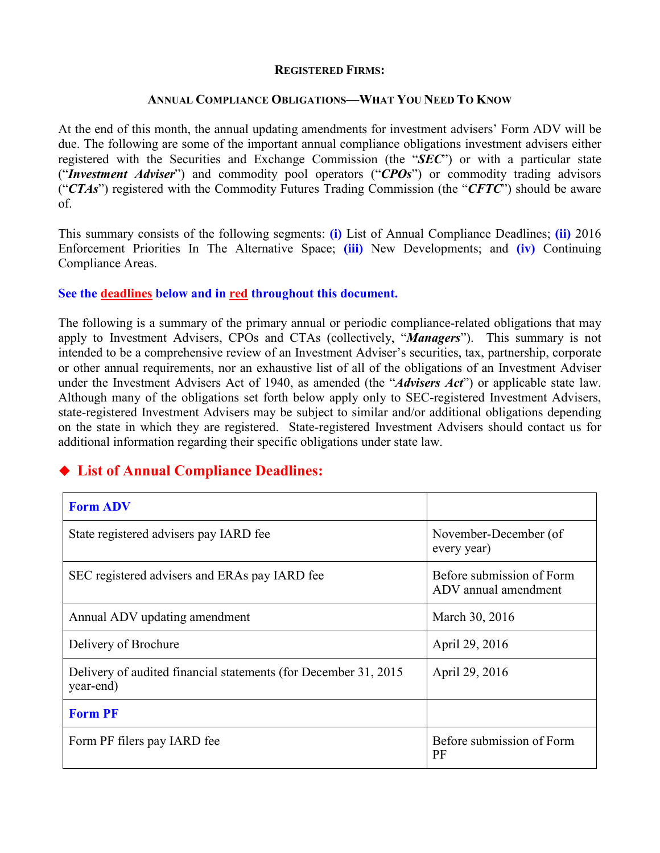#### **REGISTERED FIRMS:**

#### **ANNUAL COMPLIANCE OBLIGATIONS—WHAT YOU NEED TO KNOW**

At the end of this month, the annual updating amendments for investment advisers' Form ADV will be due. The following are some of the important annual compliance obligations investment advisers either registered with the Securities and Exchange Commission (the "*SEC*") or with a particular state ("*Investment Adviser*") and commodity pool operators ("*CPOs*") or commodity trading advisors ("*CTAs*") registered with the Commodity Futures Trading Commission (the "*CFTC*") should be aware of.

This summary consists of the following segments: **(i)** List of Annual Compliance Deadlines; **(ii)** 2016 Enforcement Priorities In The Alternative Space; **(iii)** New Developments; and **(iv)** Continuing Compliance Areas.

### **See the deadlines below and in red throughout this document.**

The following is a summary of the primary annual or periodic compliance-related obligations that may apply to Investment Advisers, CPOs and CTAs (collectively, "*Managers*"). This summary is not intended to be a comprehensive review of an Investment Adviser's securities, tax, partnership, corporate or other annual requirements, nor an exhaustive list of all of the obligations of an Investment Adviser under the Investment Advisers Act of 1940, as amended (the "*Advisers Act*") or applicable state law. Although many of the obligations set forth below apply only to SEC-registered Investment Advisers, state-registered Investment Advisers may be subject to similar and/or additional obligations depending on the state in which they are registered. State-registered Investment Advisers should contact us for additional information regarding their specific obligations under state law.

# **List of Annual Compliance Deadlines:**

| <b>Form ADV</b>                                                               |                                                   |
|-------------------------------------------------------------------------------|---------------------------------------------------|
| State registered advisers pay IARD fee                                        | November-December (of<br>every year)              |
| SEC registered advisers and ERAs pay IARD fee                                 | Before submission of Form<br>ADV annual amendment |
| Annual ADV updating amendment                                                 | March 30, 2016                                    |
| Delivery of Brochure                                                          | April 29, 2016                                    |
| Delivery of audited financial statements (for December 31, 2015)<br>year-end) | April 29, 2016                                    |
| <b>Form PF</b>                                                                |                                                   |
| Form PF filers pay IARD fee                                                   | Before submission of Form<br>PF                   |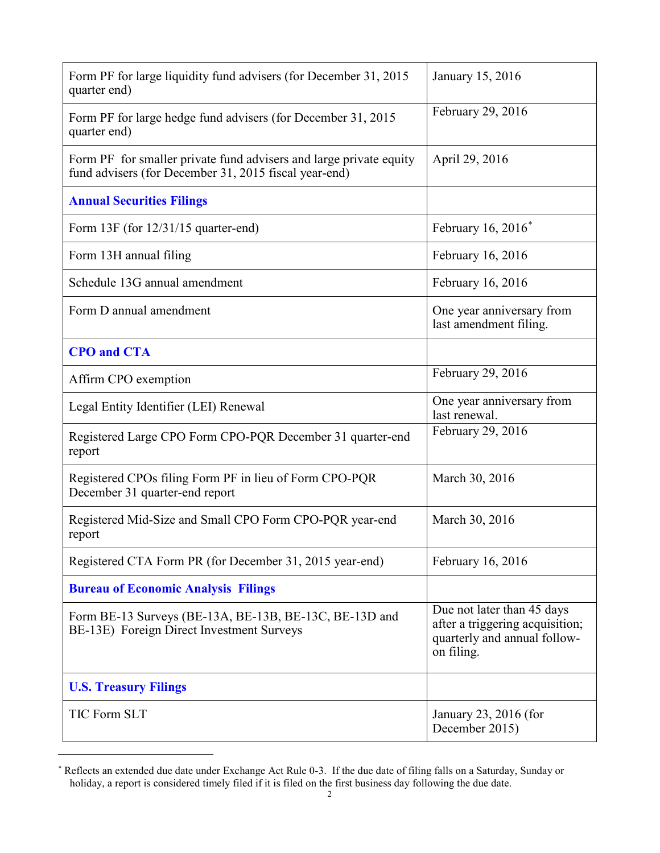| Form PF for large liquidity fund advisers (for December 31, 2015)<br>quarter end)                                           | January 15, 2016                                                                                            |
|-----------------------------------------------------------------------------------------------------------------------------|-------------------------------------------------------------------------------------------------------------|
| Form PF for large hedge fund advisers (for December 31, 2015)<br>quarter end)                                               | February 29, 2016                                                                                           |
| Form PF for smaller private fund advisers and large private equity<br>fund advisers (for December 31, 2015 fiscal year-end) | April 29, 2016                                                                                              |
| <b>Annual Securities Filings</b>                                                                                            |                                                                                                             |
| Form $13F$ (for $12/31/15$ quarter-end)                                                                                     | February 16, 2016*                                                                                          |
| Form 13H annual filing                                                                                                      | February 16, 2016                                                                                           |
| Schedule 13G annual amendment                                                                                               | February 16, 2016                                                                                           |
| Form D annual amendment                                                                                                     | One year anniversary from<br>last amendment filing.                                                         |
| <b>CPO</b> and <b>CTA</b>                                                                                                   |                                                                                                             |
| Affirm CPO exemption                                                                                                        | February 29, 2016                                                                                           |
| Legal Entity Identifier (LEI) Renewal                                                                                       | One year anniversary from<br>last renewal.                                                                  |
| Registered Large CPO Form CPO-PQR December 31 quarter-end<br>report                                                         | February 29, 2016                                                                                           |
| Registered CPOs filing Form PF in lieu of Form CPO-PQR<br>December 31 quarter-end report                                    | March 30, 2016                                                                                              |
| Registered Mid-Size and Small CPO Form CPO-PQR year-end<br>report                                                           | March 30, 2016                                                                                              |
| Registered CTA Form PR (for December 31, 2015 year-end)                                                                     | February 16, 2016                                                                                           |
| <b>Bureau of Economic Analysis Filings</b>                                                                                  |                                                                                                             |
| Form BE-13 Surveys (BE-13A, BE-13B, BE-13C, BE-13D and<br>BE-13E) Foreign Direct Investment Surveys                         | Due not later than 45 days<br>after a triggering acquisition;<br>quarterly and annual follow-<br>on filing. |
| <b>U.S. Treasury Filings</b>                                                                                                |                                                                                                             |
| <b>TIC Form SLT</b>                                                                                                         | January 23, 2016 (for<br>December 2015)                                                                     |

<span id="page-1-0"></span><sup>∗</sup> Reflects an extended due date under Exchange Act Rule 0-3. If the due date of filing falls on a Saturday, Sunday or holiday, a report is considered timely filed if it is filed on the first business day following the due date.

 $\overline{a}$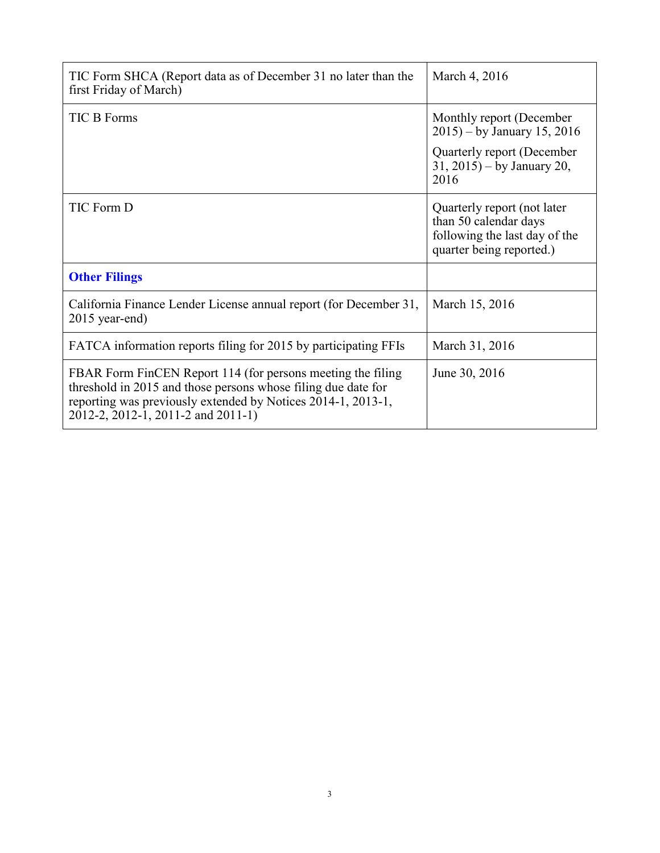| TIC Form SHCA (Report data as of December 31 no later than the<br>first Friday of March)                                                                                                                                           | March 4, 2016                                                                                                     |
|------------------------------------------------------------------------------------------------------------------------------------------------------------------------------------------------------------------------------------|-------------------------------------------------------------------------------------------------------------------|
| <b>TIC B Forms</b>                                                                                                                                                                                                                 | Monthly report (December<br>$2015$ ) – by January 15, 2016                                                        |
|                                                                                                                                                                                                                                    | Quarterly report (December<br>$31, 2015$ – by January 20,<br>2016                                                 |
| TIC Form D                                                                                                                                                                                                                         | Quarterly report (not later<br>than 50 calendar days<br>following the last day of the<br>quarter being reported.) |
| <b>Other Filings</b>                                                                                                                                                                                                               |                                                                                                                   |
| California Finance Lender License annual report (for December 31,<br>2015 year-end)                                                                                                                                                | March 15, 2016                                                                                                    |
| FATCA information reports filing for 2015 by participating FFIs                                                                                                                                                                    | March 31, 2016                                                                                                    |
| FBAR Form FinCEN Report 114 (for persons meeting the filing<br>threshold in 2015 and those persons whose filing due date for<br>reporting was previously extended by Notices 2014-1, 2013-1,<br>2012-2, 2012-1, 2011-2 and 2011-1) | June 30, 2016                                                                                                     |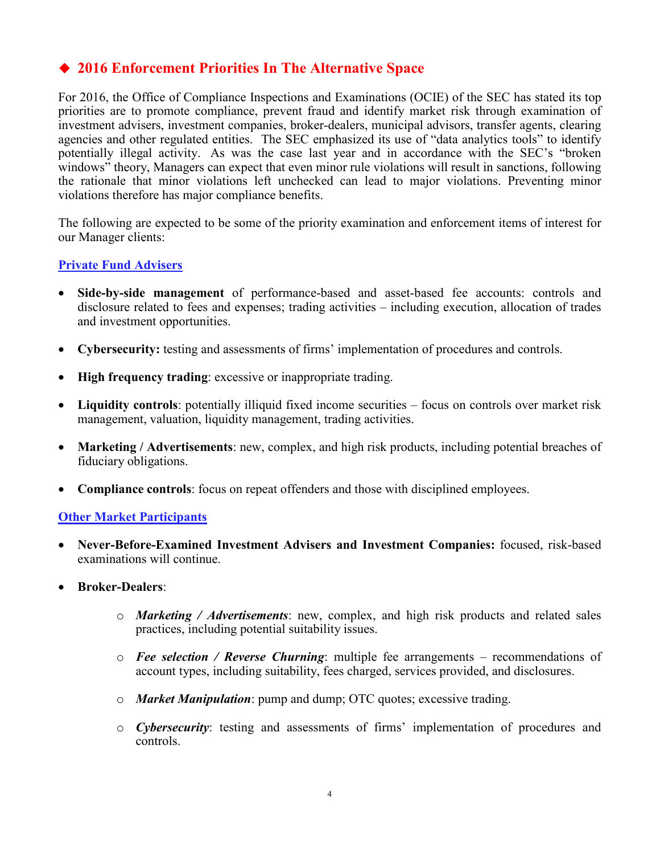# **2016 Enforcement Priorities In The Alternative Space**

For 2016, the Office of Compliance Inspections and Examinations (OCIE) of the SEC has stated its top priorities are to promote compliance, prevent fraud and identify market risk through examination of investment advisers, investment companies, broker-dealers, municipal advisors, transfer agents, clearing agencies and other regulated entities. The SEC emphasized its use of "data analytics tools" to identify potentially illegal activity. As was the case last year and in accordance with the SEC's "broken windows" theory, Managers can expect that even minor rule violations will result in sanctions, following the rationale that minor violations left unchecked can lead to major violations. Preventing minor violations therefore has major compliance benefits.

The following are expected to be some of the priority examination and enforcement items of interest for our Manager clients:

## **Private Fund Advisers**

- **Side-by-side management** of performance-based and asset-based fee accounts: controls and disclosure related to fees and expenses; trading activities – including execution, allocation of trades and investment opportunities.
- **Cybersecurity:** testing and assessments of firms' implementation of procedures and controls.
- **High frequency trading**: excessive or inappropriate trading.
- **Liquidity controls**: potentially illiquid fixed income securities focus on controls over market risk management, valuation, liquidity management, trading activities.
- **Marketing / Advertisements**: new, complex, and high risk products, including potential breaches of fiduciary obligations.
- **Compliance controls**: focus on repeat offenders and those with disciplined employees.

### **Other Market Participants**

- **Never-Before-Examined Investment Advisers and Investment Companies:** focused, risk-based examinations will continue.
- **Broker-Dealers**:
	- o *Marketing / Advertisements*: new, complex, and high risk products and related sales practices, including potential suitability issues.
	- o *Fee selection / Reverse Churning*: multiple fee arrangements recommendations of account types, including suitability, fees charged, services provided, and disclosures.
	- o *Market Manipulation*: pump and dump; OTC quotes; excessive trading.
	- o *Cybersecurity*: testing and assessments of firms' implementation of procedures and controls.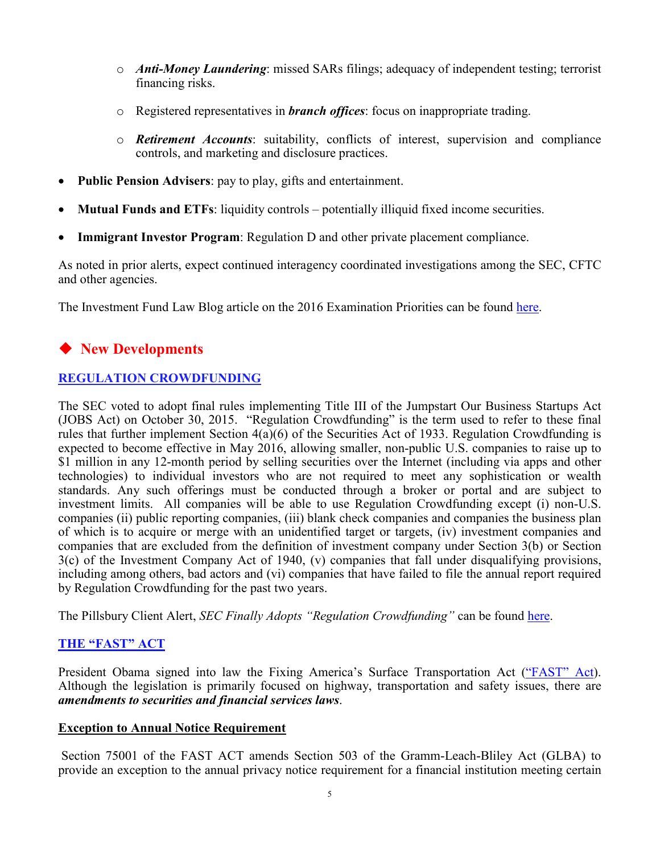- o *Anti-Money Laundering*: missed SARs filings; adequacy of independent testing; terrorist financing risks.
- o Registered representatives in *branch offices*: focus on inappropriate trading.
- o *Retirement Accounts*: suitability, conflicts of interest, supervision and compliance controls, and marketing and disclosure practices.
- **Public Pension Advisers**: pay to play, gifts and entertainment.
- **Mutual Funds and ETFs**: liquidity controls potentially illiquid fixed income securities.
- **Immigrant Investor Program**: Regulation D and other private placement compliance.

As noted in prior alerts, expect continued interagency coordinated investigations among the SEC, CFTC and other agencies.

The Investment Fund Law Blog article on the 2016 Examination Priorities can be found [here.](http://www.investmentfundlawblog.com/private-funds/sec-reveals-wide-ranging-2016-examination-priorities/)

# **New Developments**

## **REGULATION CROWDFUNDING**

The SEC voted to adopt final rules implementing Title III of the Jumpstart Our Business Startups Act (JOBS Act) on October 30, 2015. "Regulation Crowdfunding" is the term used to refer to these final rules that further implement Section 4(a)(6) of the Securities Act of 1933. Regulation Crowdfunding is expected to become effective in May 2016, allowing smaller, non-public U.S. companies to raise up to \$1 million in any 12-month period by selling securities over the Internet (including via apps and other technologies) to individual investors who are not required to meet any sophistication or wealth standards. Any such offerings must be conducted through a broker or portal and are subject to investment limits. All companies will be able to use Regulation Crowdfunding except (i) non-U.S. companies (ii) public reporting companies, (iii) blank check companies and companies the business plan of which is to acquire or merge with an unidentified target or targets, (iv) investment companies and companies that are excluded from the definition of investment company under Section 3(b) or Section 3(c) of the Investment Company Act of 1940, (v) companies that fall under disqualifying provisions, including among others, bad actors and (vi) companies that have failed to file the annual report required by Regulation Crowdfunding for the past two years.

The Pillsbury Client Alert, *SEC Finally Adopts* "Regulation Crowdfunding" can be found [here.](http://www.pillsburylaw.com/publications/sec-adopts-regulation-crowdfunding)

## **THE "FAST" ACT**

President Obama signed into law the Fixing America's Surface Transportation Act [\("FAST" Act\)](https://www.congress.gov/114/bills/hr22/BILLS-114hr22enr.pdf). Although the legislation is primarily focused on highway, transportation and safety issues, there are *amendments to securities and financial services laws*.

### **Exception to Annual Notice Requirement**

Section 75001 of the FAST ACT amends Section 503 of the Gramm-Leach-Bliley Act (GLBA) to provide an exception to the annual privacy notice requirement for a financial institution meeting certain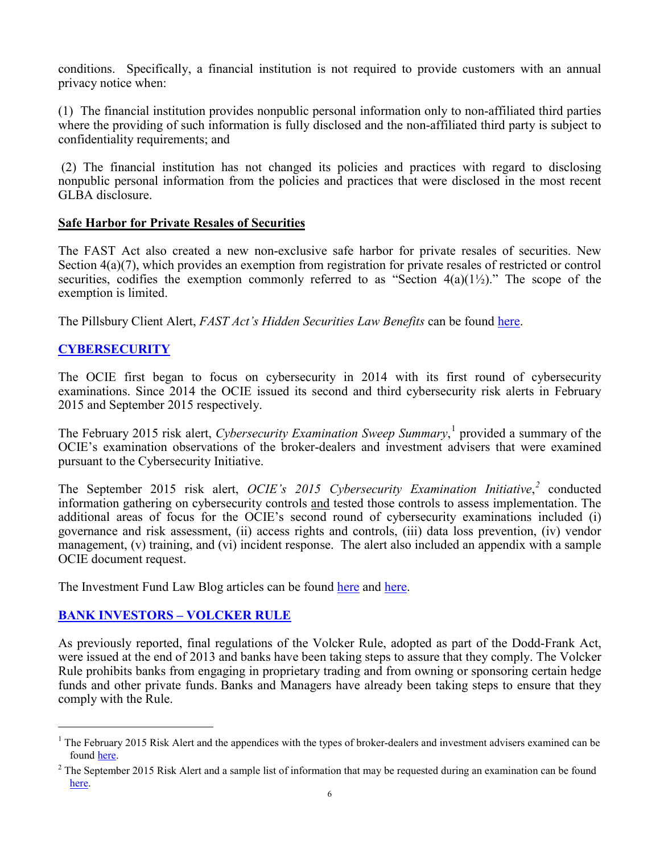conditions. Specifically, a financial institution is not required to provide customers with an annual privacy notice when:

(1) The financial institution provides nonpublic personal information only to non-affiliated third parties where the providing of such information is fully disclosed and the non-affiliated third party is subject to confidentiality requirements; and

(2) The financial institution has not changed its policies and practices with regard to disclosing nonpublic personal information from the policies and practices that were disclosed in the most recent GLBA disclosure.

## **Safe Harbor for Private Resales of Securities**

The FAST Act also created a new non-exclusive safe harbor for private resales of securities. New Section  $4(a)(7)$ , which provides an exemption from registration for private resales of restricted or control securities, codifies the exemption commonly referred to as "Section  $4(a)(1/2)$ ." The scope of the exemption is limited.

The Pillsbury Client Alert, *FAST Act's Hidden Securities Law Benefits* can be found [here.](http://www.pillsburylaw.com/publications/fast-act-hidden-securities-law-benefits)

# **CYBERSECURITY**

The OCIE first began to focus on cybersecurity in 2014 with its first round of cybersecurity examinations. Since 2014 the OCIE issued its second and third cybersecurity risk alerts in February 2015 and September 2015 respectively.

The February 2015 risk alert, *Cybersecurity Examination Sweep Summary*, [1](#page-5-0) provided a summary of the OCIE's examination observations of the broker-dealers and investment advisers that were examined pursuant to the Cybersecurity Initiative.

The September 2015 risk alert, *OCIE's 2015 Cybersecurity Examination Initiative*, *[2](#page-5-1)* conducted information gathering on cybersecurity controls and tested those controls to assess implementation. The additional areas of focus for the OCIE's second round of cybersecurity examinations included (i) governance and risk assessment, (ii) access rights and controls, (iii) data loss prevention, (iv) vendor management, (v) training, and (vi) incident response. The alert also included an appendix with a sample OCIE document request.

The Investment Fund Law Blog articles can be found [here](http://www.investmentfundlawblog.com/client-alert/senate-passes-cybersecurity-information-sharing-bill-long-sought-by-industry/) and [here.](http://www.investmentfundlawblog.com/private-funds/cyber-crimes-target-hedge-funds/)

## **BANK INVESTORS – VOLCKER RULE**

As previously reported, final regulations of the Volcker Rule, adopted as part of the Dodd-Frank Act, were issued at the end of 2013 and banks have been taking steps to assure that they comply. The Volcker Rule prohibits banks from engaging in proprietary trading and from owning or sponsoring certain hedge funds and other private funds. Banks and Managers have already been taking steps to ensure that they comply with the Rule.

<span id="page-5-0"></span> $<sup>1</sup>$  The February 2015 Risk Alert and the appendices with the types of broker-dealers and investment advisers examined can be</sup> foun[d here.](http://www.sec.gov/about/offices/ocie/cybersecurity-examination-sweep-summary.pdf)

<span id="page-5-1"></span> $2$  The September 2015 Risk Alert and a sample list of information that may be requested during an examination can be found [here.](https://www.sec.gov/ocie/announcement/ocie-2015-cybersecurity-examination-initiative.pdf)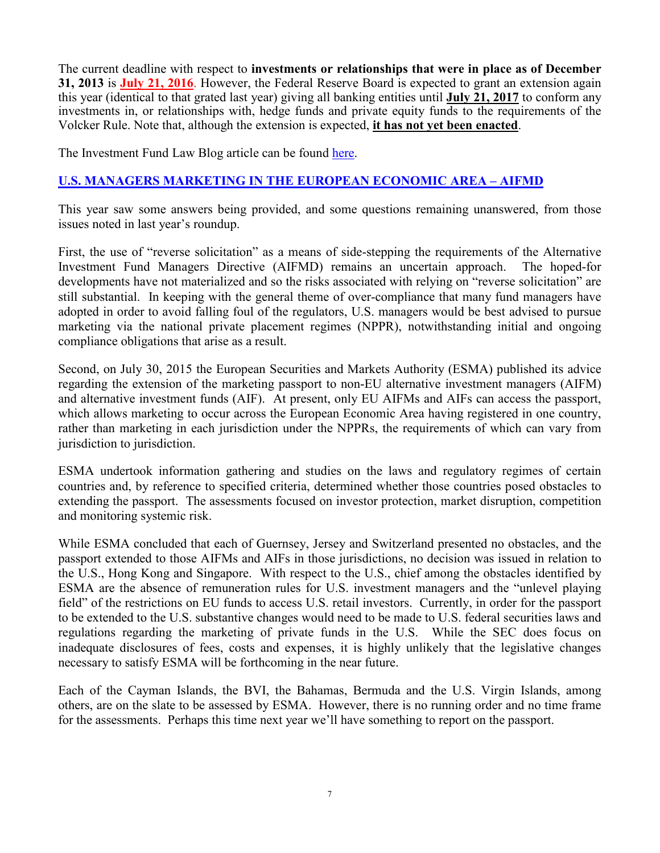The current deadline with respect to **investments or relationships that were in place as of December 31, 2013** is **July 21, 2016**. However, the Federal Reserve Board is expected to grant an extension again this year (identical to that grated last year) giving all banking entities until **July 21, 2017** to conform any investments in, or relationships with, hedge funds and private equity funds to the requirements of the Volcker Rule. Note that, although the extension is expected, **it has not yet been enacted**.

The Investment Fund Law Blog article can be found [here.](http://www.investmentfundlawblog.com/private-funds/the-volcker-rule-a-suggested-approach-for-banking-entities-when-analyzing-its-impact-on-business-mo/)

# **U.S. MANAGERS MARKETING IN THE EUROPEAN ECONOMIC AREA – AIFMD**

This year saw some answers being provided, and some questions remaining unanswered, from those issues noted in last year's roundup.

First, the use of "reverse solicitation" as a means of side-stepping the requirements of the Alternative Investment Fund Managers Directive (AIFMD) remains an uncertain approach. The hoped-for developments have not materialized and so the risks associated with relying on "reverse solicitation" are still substantial. In keeping with the general theme of over-compliance that many fund managers have adopted in order to avoid falling foul of the regulators, U.S. managers would be best advised to pursue marketing via the national private placement regimes (NPPR), notwithstanding initial and ongoing compliance obligations that arise as a result.

Second, on July 30, 2015 the European Securities and Markets Authority (ESMA) published its advice regarding the extension of the marketing passport to non-EU alternative investment managers (AIFM) and alternative investment funds (AIF). At present, only EU AIFMs and AIFs can access the passport, which allows marketing to occur across the European Economic Area having registered in one country, rather than marketing in each jurisdiction under the NPPRs, the requirements of which can vary from jurisdiction to jurisdiction.

ESMA undertook information gathering and studies on the laws and regulatory regimes of certain countries and, by reference to specified criteria, determined whether those countries posed obstacles to extending the passport. The assessments focused on investor protection, market disruption, competition and monitoring systemic risk.

While ESMA concluded that each of Guernsey, Jersey and Switzerland presented no obstacles, and the passport extended to those AIFMs and AIFs in those jurisdictions, no decision was issued in relation to the U.S., Hong Kong and Singapore. With respect to the U.S., chief among the obstacles identified by ESMA are the absence of remuneration rules for U.S. investment managers and the "unlevel playing field" of the restrictions on EU funds to access U.S. retail investors. Currently, in order for the passport to be extended to the U.S. substantive changes would need to be made to U.S. federal securities laws and regulations regarding the marketing of private funds in the U.S. While the SEC does focus on inadequate disclosures of fees, costs and expenses, it is highly unlikely that the legislative changes necessary to satisfy ESMA will be forthcoming in the near future.

Each of the Cayman Islands, the BVI, the Bahamas, Bermuda and the U.S. Virgin Islands, among others, are on the slate to be assessed by ESMA. However, there is no running order and no time frame for the assessments. Perhaps this time next year we'll have something to report on the passport.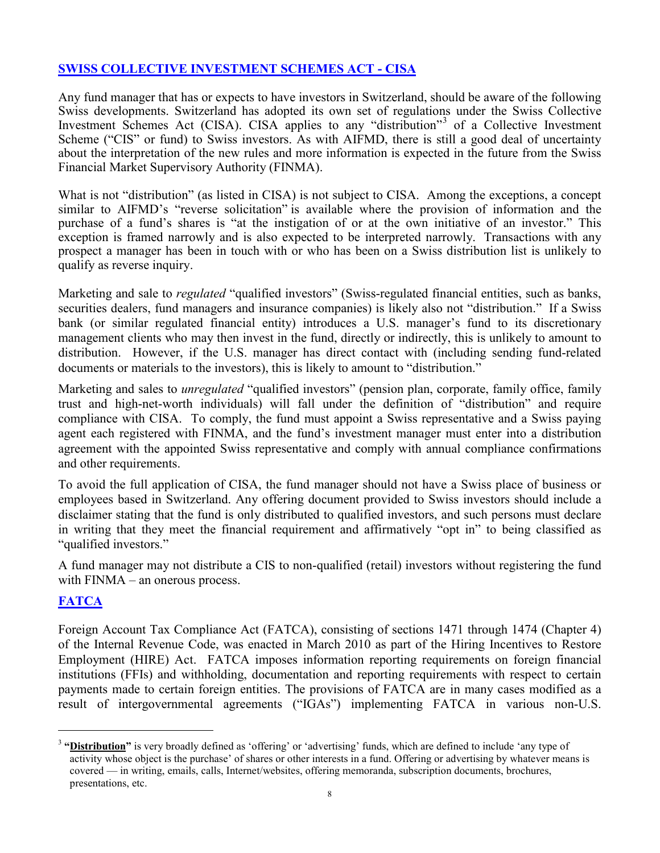# **SWISS COLLECTIVE INVESTMENT SCHEMES ACT - CISA**

Any fund manager that has or expects to have investors in Switzerland, should be aware of the following Swiss developments. Switzerland has adopted its own set of regulations under the Swiss Collective Investment Schemes Act (CISA). CISA applies to any "distribution"[3](#page-7-0) of a Collective Investment Scheme ("CIS" or fund) to Swiss investors. As with AIFMD, there is still a good deal of uncertainty about the interpretation of the new rules and more information is expected in the future from the Swiss Financial Market Supervisory Authority (FINMA).

What is not "distribution" (as listed in CISA) is not subject to CISA. Among the exceptions, a concept similar to AIFMD's "reverse solicitation" is available where the provision of information and the purchase of a fund's shares is "at the instigation of or at the own initiative of an investor." This exception is framed narrowly and is also expected to be interpreted narrowly. Transactions with any prospect a manager has been in touch with or who has been on a Swiss distribution list is unlikely to qualify as reverse inquiry.

Marketing and sale to *regulated* "qualified investors" (Swiss-regulated financial entities, such as banks, securities dealers, fund managers and insurance companies) is likely also not "distribution." If a Swiss bank (or similar regulated financial entity) introduces a U.S. manager's fund to its discretionary management clients who may then invest in the fund, directly or indirectly, this is unlikely to amount to distribution. However, if the U.S. manager has direct contact with (including sending fund-related documents or materials to the investors), this is likely to amount to "distribution."

Marketing and sales to *unregulated* "qualified investors" (pension plan, corporate, family office, family trust and high-net-worth individuals) will fall under the definition of "distribution" and require compliance with CISA. To comply, the fund must appoint a Swiss representative and a Swiss paying agent each registered with FINMA, and the fund's investment manager must enter into a distribution agreement with the appointed Swiss representative and comply with annual compliance confirmations and other requirements.

To avoid the full application of CISA, the fund manager should not have a Swiss place of business or employees based in Switzerland. Any offering document provided to Swiss investors should include a disclaimer stating that the fund is only distributed to qualified investors, and such persons must declare in writing that they meet the financial requirement and affirmatively "opt in" to being classified as "qualified investors."

A fund manager may not distribute a CIS to non-qualified (retail) investors without registering the fund with FINMA – an onerous process.

# **FATCA**

Foreign Account Tax Compliance Act (FATCA), consisting of sections 1471 through 1474 (Chapter 4) of the Internal Revenue Code, was enacted in March 2010 as part of the Hiring Incentives to Restore Employment (HIRE) Act. FATCA imposes information reporting requirements on foreign financial institutions (FFIs) and withholding, documentation and reporting requirements with respect to certain payments made to certain foreign entities. The provisions of FATCA are in many cases modified as a result of intergovernmental agreements ("IGAs") implementing FATCA in various non-U.S.

<span id="page-7-0"></span><sup>&</sup>lt;sup>3</sup> "Distribution" is very broadly defined as 'offering' or 'advertising' funds, which are defined to include 'any type of activity whose object is the purchase' of shares or other interests in a fund. Offering or advertising by whatever means is covered — in writing, emails, calls, Internet/websites, offering memoranda, subscription documents, brochures, presentations, etc.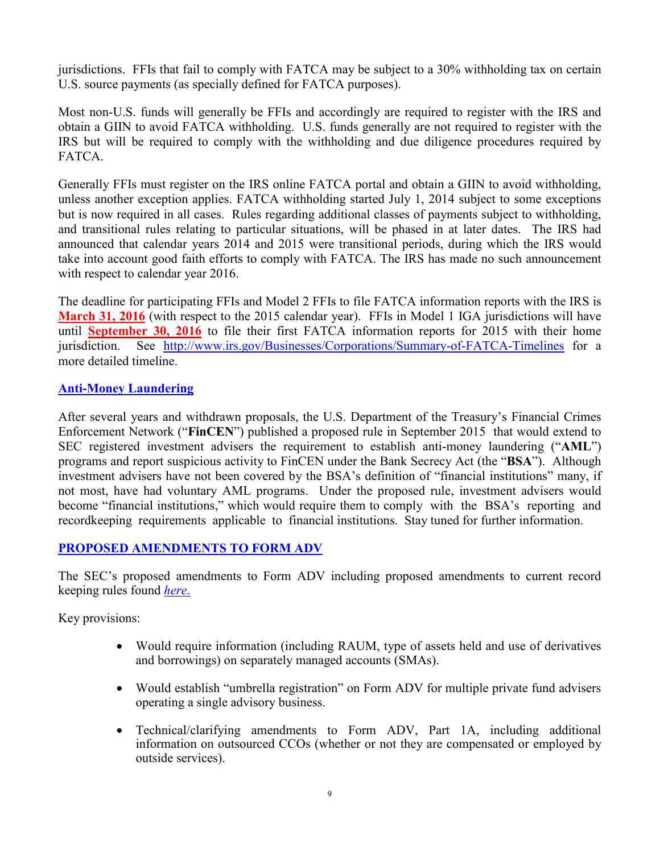jurisdictions. FFIs that fail to comply with FATCA may be subject to a 30% withholding tax on certain U.S. source payments (as specially defined for FATCA purposes).

Most non-U.S. funds will generally be FFIs and accordingly are required to register with the IRS and obtain a GIIN to avoid FATCA withholding. U.S. funds generally are not required to register with the IRS but will be required to comply with the withholding and due diligence procedures required by **FATCA** 

Generally FFIs must register on the IRS online FATCA portal and obtain a GIIN to avoid withholding, unless another exception applies. FATCA withholding started July 1, 2014 subject to some exceptions but is now required in all cases. Rules regarding additional classes of payments subject to withholding, and transitional rules relating to particular situations, will be phased in at later dates. The IRS had announced that calendar years 2014 and 2015 were transitional periods, during which the IRS would take into account good faith efforts to comply with FATCA. The IRS has made no such announcement with respect to calendar year 2016.

The deadline for participating FFIs and Model 2 FFIs to file FATCA information reports with the IRS is **March 31, 2016** (with respect to the 2015 calendar year). FFIs in Model 1 IGA jurisdictions will have until **September 30, 2016** to file their first FATCA information reports for 2015 with their home jurisdiction. See <http://www.irs.gov/Businesses/Corporations/Summary-of-FATCA-Timelines> for a more detailed timeline.

## **Anti-Money Laundering**

After several years and withdrawn proposals, the U.S. Department of the Treasury's Financial Crimes Enforcement Network ("**FinCEN**") published a proposed rule in September 2015 that would extend to SEC registered investment advisers the requirement to establish anti-money laundering ("**AML**") programs and report suspicious activity to FinCEN under the Bank Secrecy Act (the "**BSA**"). Although investment advisers have not been covered by the BSA's definition of "financial institutions" many, if not most, have had voluntary AML programs. Under the proposed rule, investment advisers would become "financial institutions," which would require them to comply with the BSA's reporting and recordkeeping requirements applicable to financial institutions. Stay tuned for further information.

## **PROPOSED AMENDMENTS TO FORM ADV**

The SEC's proposed amendments to Form ADV including proposed amendments to current record keeping rules found *[here](http://www.sec.gov/rules/proposed/2015/ia-4091.pdf)*.

Key provisions:

- Would require information (including RAUM, type of assets held and use of derivatives and borrowings) on separately managed accounts (SMAs).
- Would establish "umbrella registration" on Form ADV for multiple private fund advisers operating a single advisory business.
- Technical/clarifying amendments to Form ADV, Part 1A, including additional information on outsourced CCOs (whether or not they are compensated or employed by outside services).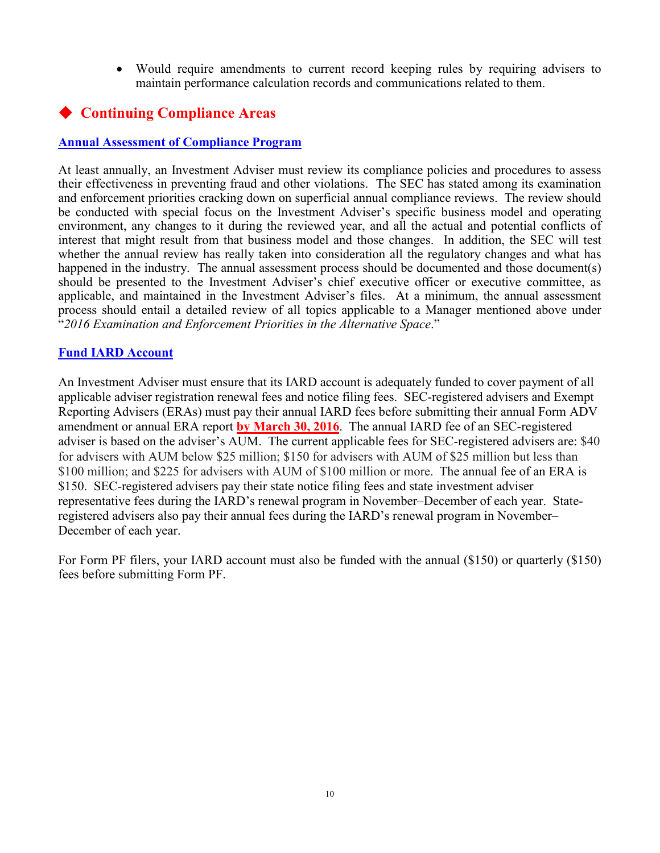• Would require amendments to current record keeping rules by requiring advisers to maintain performance calculation records and communications related to them.

# **Continuing Compliance Areas**

## **Annual Assessment of Compliance Program**

At least annually, an Investment Adviser must review its compliance policies and procedures to assess their effectiveness in preventing fraud and other violations. The SEC has stated among its examination and enforcement priorities cracking down on superficial annual compliance reviews. The review should be conducted with special focus on the Investment Adviser's specific business model and operating environment, any changes to it during the reviewed year, and all the actual and potential conflicts of interest that might result from that business model and those changes. In addition, the SEC will test whether the annual review has really taken into consideration all the regulatory changes and what has happened in the industry. The annual assessment process should be documented and those document(s) should be presented to the Investment Adviser's chief executive officer or executive committee, as applicable, and maintained in the Investment Adviser's files. At a minimum, the annual assessment process should entail a detailed review of all topics applicable to a Manager mentioned above under "*2016 Examination and Enforcement Priorities in the Alternative Space*."

### **Fund IARD Account**

An Investment Adviser must ensure that its IARD account is adequately funded to cover payment of all applicable adviser registration renewal fees and notice filing fees. SEC-registered advisers and Exempt Reporting Advisers (ERAs) must pay their annual IARD fees before submitting their annual Form ADV amendment or annual ERA report **by March 30, 2016**. The [annual IARD fee](http://www.iard.com/fee_schedule.asp) of an SEC-registered adviser is based on the adviser's AUM. The current applicable fees for SEC-registered advisers are: \$40 for advisers with AUM below \$25 million; \$150 for advisers with AUM of \$25 million but less than \$100 million; and \$225 for advisers with AUM of \$100 million or more. The annual fee of an ERA is \$150. SEC-registered advisers pay their state notice filing fees and state investment adviser representative fees during the IARD's renewal program in November–December of each year. Stateregistered advisers also pay their annual fees during the IARD's renewal program in November– December of each year.

For Form PF filers, your IARD account must also be funded with the annual (\$150) or quarterly (\$150) fees before submitting Form PF.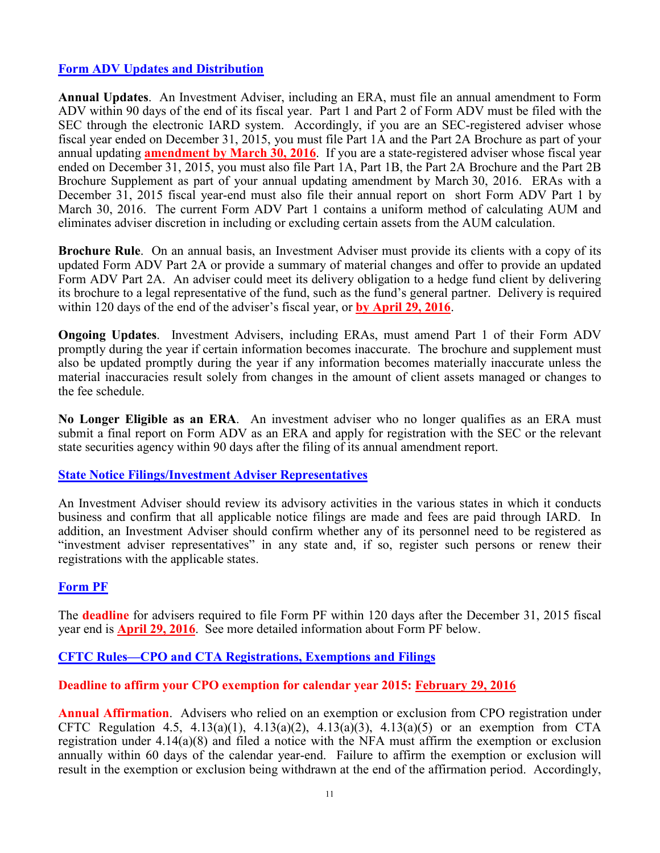## **[Form ADV](http://www.sec.gov/about/forms/formadv.pdf) Updates and Distribution**

**Annual Updates**. An Investment Adviser, including an ERA, must file an annual amendment to Form ADV within 90 days of the end of its fiscal year. Part 1 and Part 2 of Form ADV must be filed with the SEC through the electronic IARD system. Accordingly, if you are an SEC-registered adviser whose fiscal year ended on December 31, 2015, you must file Part 1A and the Part 2A Brochure as part of your annual updating **amendment by March 30, 2016**. If you are a state-registered adviser whose fiscal year ended on December 31, 2015, you must also file Part 1A, Part 1B, the Part 2A Brochure and the Part 2B Brochure Supplement as part of your annual updating amendment by March 30, 2016. ERAs with a December 31, 2015 fiscal year-end must also file their annual report on short Form ADV Part 1 by March 30, 2016. The current Form ADV Part 1 contains a uniform method of calculating AUM and eliminates adviser discretion in including or excluding certain assets from the AUM calculation.

**Brochure Rule**. On an annual basis, an Investment Adviser must provide its clients with a copy of its updated Form ADV Part 2A or provide a summary of material changes and offer to provide an updated Form ADV Part 2A. An adviser could meet its delivery obligation to a hedge fund client by delivering its brochure to a legal representative of the fund, such as the fund's general partner. Delivery is required within 120 days of the end of the adviser's fiscal year, or **by April 29, 2016**.

**Ongoing Updates**. Investment Advisers, including ERAs, must amend Part 1 of their Form ADV promptly during the year if certain information becomes inaccurate. The brochure and supplement must also be updated promptly during the year if any information becomes materially inaccurate unless the material inaccuracies result solely from changes in the amount of client assets managed or changes to the fee schedule.

**No Longer Eligible as an ERA**. An investment adviser who no longer qualifies as an ERA must submit a final report on Form ADV as an ERA and apply for registration with the SEC or the relevant state securities agency within 90 days after the filing of its annual amendment report.

### **State Notice Filings/Investment Adviser Representatives**

An Investment Adviser should review its advisory activities in the various states in which it conducts business and confirm that all applicable notice filings are made and fees are paid through IARD. In addition, an Investment Adviser should confirm whether any of its personnel need to be registered as "investment adviser representatives" in any state and, if so, register such persons or renew their registrations with the applicable states.

### **Form PF**

The **deadline** for advisers required to file Form PF within 120 days after the December 31, 2015 fiscal year end is **April 29, 2016**. See more detailed information about Form PF below.

### **CFTC Rules—CPO and CTA Registrations, Exemptions and Filings**

### **Deadline to affirm your CPO exemption for calendar year 2015: February 29, 2016**

**Annual Affirmation**. Advisers who relied on an exemption or exclusion from CPO registration under CFTC Regulation 4.5,  $4.13(a)(1)$ ,  $4.13(a)(2)$ ,  $4.13(a)(3)$ ,  $4.13(a)(5)$  or an exemption from CTA registration under 4.14(a)(8) and filed a notice with the NFA must affirm the exemption or exclusion annually within 60 days of the calendar year-end. Failure to affirm the exemption or exclusion will result in the exemption or exclusion being withdrawn at the end of the affirmation period. Accordingly,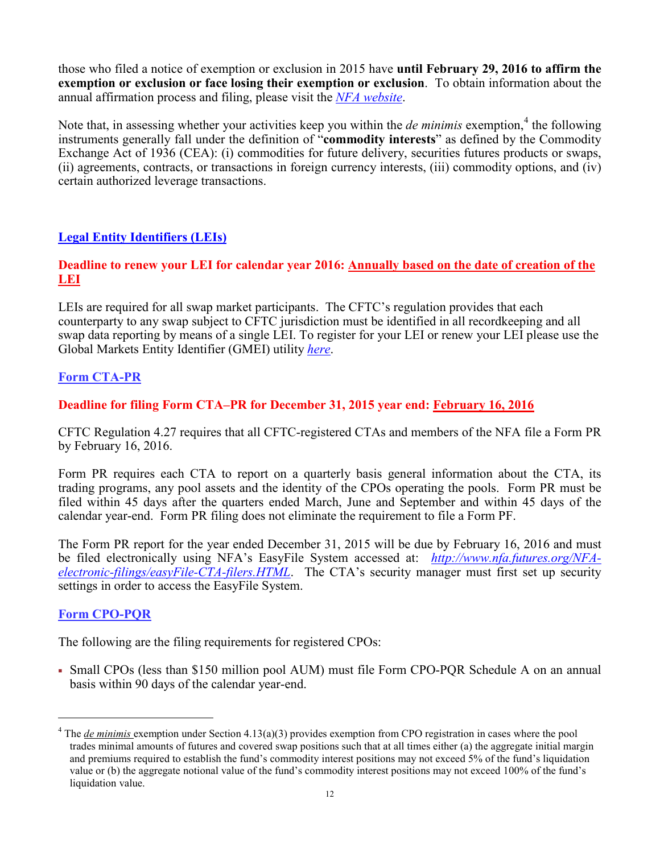those who filed a notice of exemption or exclusion in 2015 have **until February 29, 2016 to affirm the exemption or exclusion or face losing their exemption or exclusion**. To obtain information about the annual affirmation process and filing, please visit the *[NFA website](http://www.nfa.futures.org/news/newsNotice.asp?ArticleID=4158)*.

Note that, in assessing whether your activities keep you within the *de minimis* exemption,<sup>[4](#page-11-0)</sup> the following instruments generally fall under the definition of "**commodity interests**" as defined by the Commodity Exchange Act of 1936 (CEA): (i) commodities for future delivery, securities futures products or swaps, (ii) agreements, contracts, or transactions in foreign currency interests, (iii) commodity options, and (iv) certain authorized leverage transactions.

## **Legal Entity Identifiers (LEIs)**

## **Deadline to renew your LEI for calendar year 2016: Annually based on the date of creation of the LEI**

LEIs are required for all swap market participants. The CFTC's regulation provides that each counterparty to any swap subject to CFTC jurisdiction must be identified in all recordkeeping and all swap data reporting by means of a single LEI. To register for your LEI or renew your LEI please use the Global Markets Entity Identifier (GMEI) utility *[here](https://www.gmeiutility.org/index.jsp)*.

# **Form CTA-PR**

# **Deadline for filing Form CTA–PR for December 31, 2015 year end: February 16, 2016**

CFTC Regulation 4.27 requires that all CFTC-registered CTAs and members of the NFA file a Form PR by February 16, 2016.

Form PR requires each CTA to report on a quarterly basis general information about the CTA, its trading programs, any pool assets and the identity of the CPOs operating the pools. Form PR must be filed within 45 days after the quarters ended March, June and September and within 45 days of the calendar year-end. Form PR filing does not eliminate the requirement to file a Form PF.

The Form PR report for the year ended December 31, 2015 will be due by February 16, 2016 and must be filed electronically using NFA's EasyFile System accessed at: *[http://www.nfa.futures.org/NFA](http://www.nfa.futures.org/NFA-electronic-filings/easyFile-CTA-filers.HTML)[electronic-filings/easyFile-CTA-filers.HTML](http://www.nfa.futures.org/NFA-electronic-filings/easyFile-CTA-filers.HTML)*. The CTA's security manager must first set up security settings in order to access the EasyFile System.

## **Form CPO-PQR**

The following are the filing requirements for registered CPOs:

 Small CPOs (less than \$150 million pool AUM) must file Form CPO-PQR Schedule A on an annual basis within 90 days of the calendar year-end.

<span id="page-11-0"></span><sup>&</sup>lt;sup>4</sup> The *de minimis* exemption under Section 4.13(a)(3) provides exemption from CPO registration in cases where the pool trades minimal amounts of futures and covered swap positions such that at all times either (a) the aggregate initial margin and premiums required to establish the fund's commodity interest positions may not exceed 5% of the fund's liquidation value or (b) the aggregate notional value of the fund's commodity interest positions may not exceed 100% of the fund's liquidation value.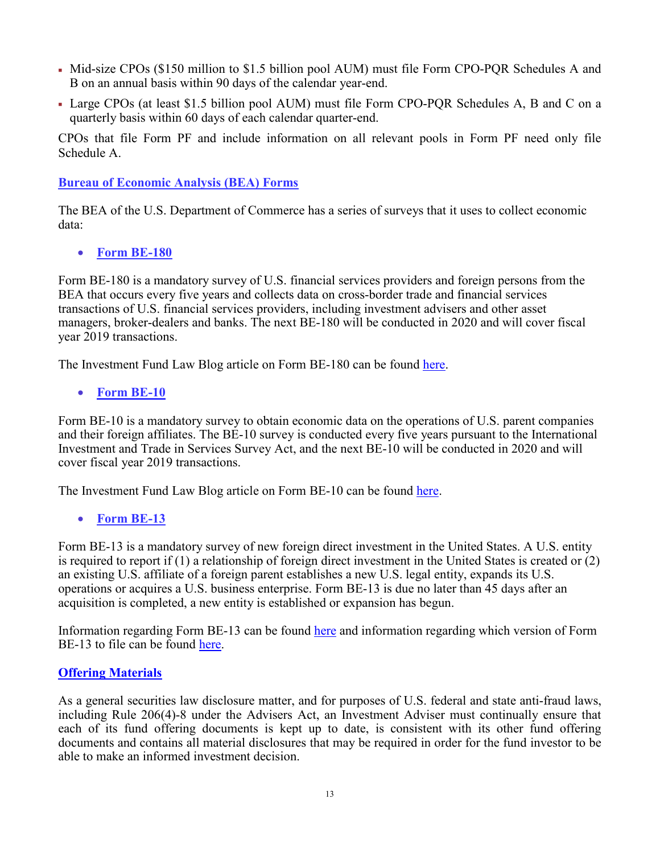- Mid-size CPOs (\$150 million to \$1.5 billion pool AUM) must file Form CPO-PQR Schedules A and B on an annual basis within 90 days of the calendar year-end.
- Large CPOs (at least \$1.5 billion pool AUM) must file Form CPO-PQR Schedules A, B and C on a quarterly basis within 60 days of each calendar quarter-end.

CPOs that file Form PF and include information on all relevant pools in Form PF need only file Schedule A.

## **Bureau of Economic Analysis (BEA) Forms**

The BEA of the U.S. Department of Commerce has a series of surveys that it uses to collect economic data:

• **Form BE-180**

Form BE-180 is a mandatory survey of U.S. financial services providers and foreign persons from the BEA that occurs every five years and collects data on cross-border trade and financial services transactions of U.S. financial services providers, including investment advisers and other asset managers, broker-dealers and banks. The next BE-180 will be conducted in 2020 and will cover fiscal year 2019 transactions.

The Investment Fund Law Blog article on Form BE-180 can be found [here.](http://www.investmentfundlawblog.com/private-funds/filing-deadline-for-form-be-180-is-november-1-2015/)

• **Form BE-10**

Form BE-10 is a mandatory survey to obtain economic data on the operations of U.S. parent companies and their foreign affiliates. The BE-10 survey is conducted every five years pursuant to the International Investment and Trade in Services Survey Act, and the next BE-10 will be conducted in 2020 and will cover fiscal year 2019 transactions.

The Investment Fund Law Blog article on Form BE-10 can be found [here.](http://www.investmentfundlawblog.com/private-funds/deadline-looming-for-be-10-filing/)

• **Form BE-13**

Form BE-13 is a mandatory survey of new foreign direct investment in the United States. A U.S. entity is required to report if (1) a relationship of foreign direct investment in the United States is created or (2) an existing U.S. affiliate of a foreign parent establishes a new U.S. legal entity, expands its U.S. operations or acquires a U.S. business enterprise. Form BE-13 is due no later than 45 days after an acquisition is completed, a new entity is established or expansion has begun.

Information regarding Form BE-13 can be found [here](http://www.bea.gov/surveys/pdf/be13/be13-filing-instructions.pdf) and information regarding which version of Form BE-13 to file can be found [here.](http://www.bea.gov/surveys/pdf/be13/which-be13-form-do-i-file.pdf)

## **Offering Materials**

As a general securities law disclosure matter, and for purposes of U.S. federal and state anti-fraud laws, including Rule 206(4)-8 under the Advisers Act, an Investment Adviser must continually ensure that each of its fund offering documents is kept up to date, is consistent with its other fund offering documents and contains all material disclosures that may be required in order for the fund investor to be able to make an informed investment decision.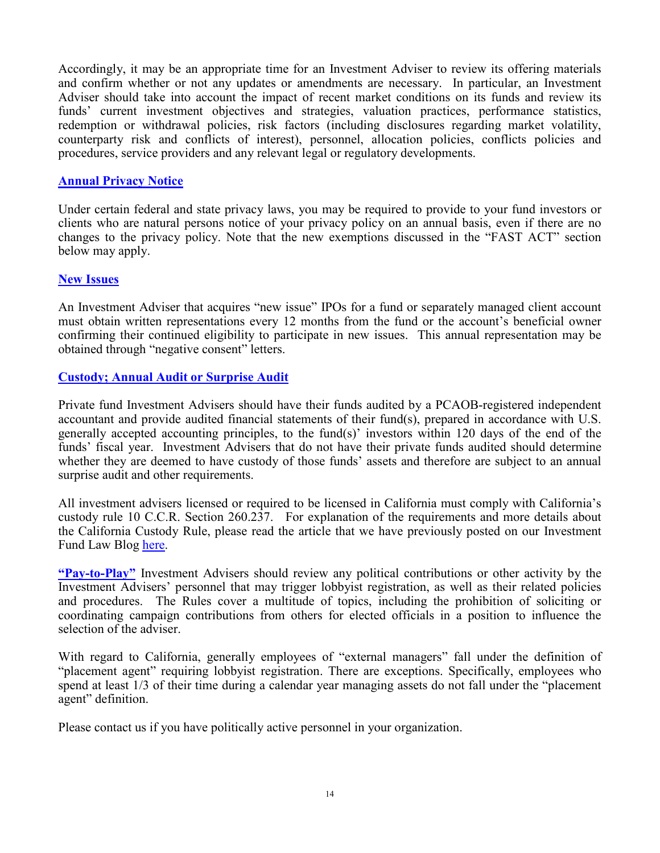Accordingly, it may be an appropriate time for an Investment Adviser to review its offering materials and confirm whether or not any updates or amendments are necessary. In particular, an Investment Adviser should take into account the impact of recent market conditions on its funds and review its funds' current investment objectives and strategies, valuation practices, performance statistics, redemption or withdrawal policies, risk factors (including disclosures regarding market volatility, counterparty risk and conflicts of interest), personnel, allocation policies, conflicts policies and procedures, service providers and any relevant legal or regulatory developments.

#### **Annual Privacy Notice**

Under certain federal and state privacy laws, you may be required to provide to your fund investors or clients who are natural persons notice of your privacy policy on an annual basis, even if there are no changes to the privacy policy. Note that the new exemptions discussed in the "FAST ACT" section below may apply.

#### **New Issues**

An Investment Adviser that acquires "new issue" IPOs for a fund or separately managed client account must obtain written representations every 12 months from the fund or the account's beneficial owner confirming their continued eligibility to participate in new issues. This annual representation may be obtained through "negative consent" letters.

### **Custody; Annual Audit or Surprise Audit**

Private fund Investment Advisers should have their funds audited by a PCAOB-registered independent accountant and provide audited financial statements of their fund(s), prepared in accordance with U.S. generally accepted accounting principles, to the fund(s)' investors within 120 days of the end of the funds' fiscal year. Investment Advisers that do not have their private funds audited should determine whether they are deemed to have custody of those funds' assets and therefore are subject to an annual surprise audit and other requirements.

All investment advisers licensed or required to be licensed in California must comply with California's custody rule 10 C.C.R. Section 260.237. For explanation of the requirements and more details about the California Custody Rule, please read the article that we have previously posted on our Investment Fund Law Blog [here.](http://www.investmentfundlawblog.com/private-funds/new-custody-compliance-tasks-for-california-registered-advisers-effective-april-1/)

**"Pay-to-Play"** Investment Advisers should review any political contributions or other activity by the Investment Advisers' personnel that may trigger lobbyist registration, as well as their related policies and procedures. The Rules cover a multitude of topics, including the prohibition of soliciting or coordinating campaign contributions from others for elected officials in a position to influence the selection of the adviser.

With regard to California, generally employees of "external managers" fall under the definition of "placement agent" requiring lobbyist registration. There are exceptions. Specifically, employees who spend at least 1/3 of their time during a calendar year managing assets do not fall under the "placement agent" definition.

Please contact us if you have politically active personnel in your organization.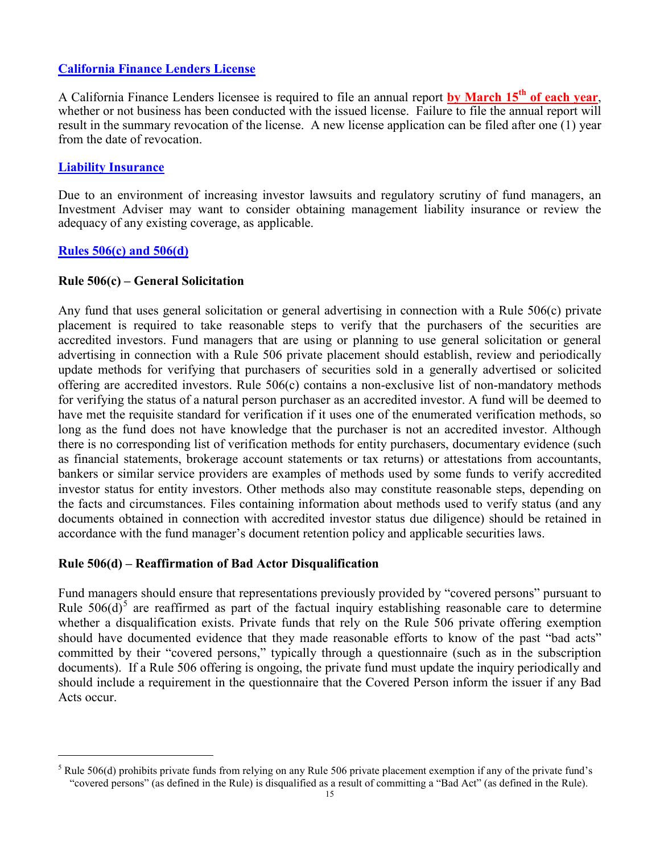## **California Finance Lenders License**

A California Finance Lenders licensee is required to file an annual report **by March 15th of each year**, whether or not business has been conducted with the issued license. Failure to file the annual report will result in the summary revocation of the license. A new license application can be filed after one (1) year from the date of revocation.

## **Liability Insurance**

Due to an environment of increasing investor lawsuits and regulatory scrutiny of fund managers, an Investment Adviser may want to consider obtaining management liability insurance or review the adequacy of any existing coverage, as applicable.

### **Rules 506(c) and 506(d)**

#### **Rule 506(c) – General Solicitation**

Any fund that uses general solicitation or general advertising in connection with a Rule 506(c) private placement is required to take reasonable steps to verify that the purchasers of the securities are accredited investors. Fund managers that are using or planning to use general solicitation or general advertising in connection with a Rule 506 private placement should establish, review and periodically update methods for verifying that purchasers of securities sold in a generally advertised or solicited offering are accredited investors. Rule 506(c) contains a non-exclusive list of non-mandatory methods for verifying the status of a natural person purchaser as an accredited investor. A fund will be deemed to have met the requisite standard for verification if it uses one of the enumerated verification methods, so long as the fund does not have knowledge that the purchaser is not an accredited investor. Although there is no corresponding list of verification methods for entity purchasers, documentary evidence (such as financial statements, brokerage account statements or tax returns) or attestations from accountants, bankers or similar service providers are examples of methods used by some funds to verify accredited investor status for entity investors. Other methods also may constitute reasonable steps, depending on the facts and circumstances. Files containing information about methods used to verify status (and any documents obtained in connection with accredited investor status due diligence) should be retained in accordance with the fund manager's document retention policy and applicable securities laws.

### **Rule 506(d) – Reaffirmation of Bad Actor Disqualification**

Fund managers should ensure that representations previously provided by "covered persons" pursuant to Rule  $506(d)$  $506(d)$ <sup>5</sup> are reaffirmed as part of the factual inquiry establishing reasonable care to determine whether a disqualification exists. Private funds that rely on the Rule 506 private offering exemption should have documented evidence that they made reasonable efforts to know of the past "bad acts" committed by their "covered persons," typically through a questionnaire (such as in the subscription documents). If a Rule 506 offering is ongoing, the private fund must update the inquiry periodically and should include a requirement in the questionnaire that the Covered Person inform the issuer if any Bad Acts occur.

<span id="page-14-0"></span> <sup>5</sup> Rule 506(d) prohibits private funds from relying on any Rule 506 private placement exemption if any of the private fund's "covered persons" (as defined in the Rule) is disqualified as a result of committing a "Bad Act" (as defined in the Rule).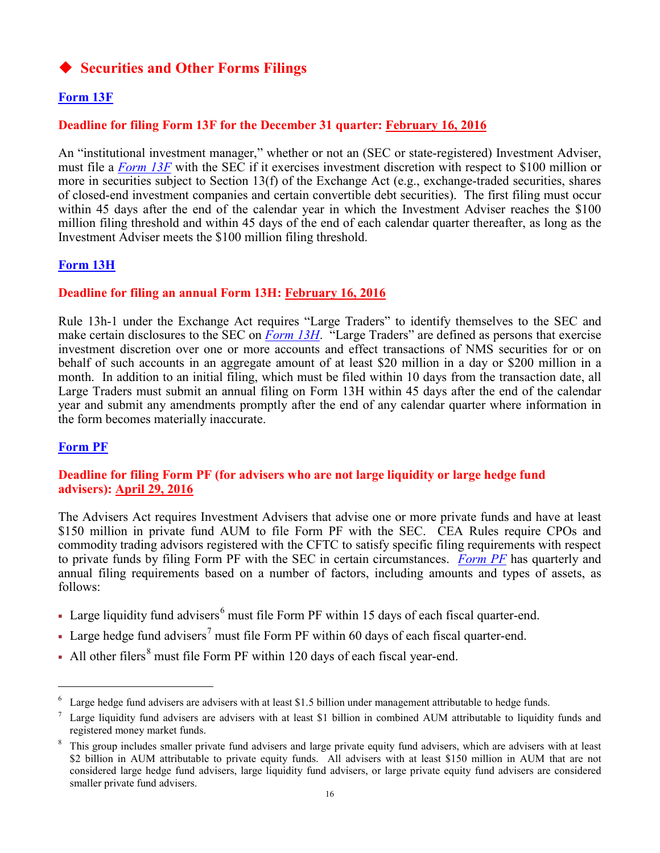# **Securities and Other Forms Filings**

# **Form 13F**

## **Deadline for filing Form 13F for the December 31 quarter: February 16, 2016**

An "institutional investment manager," whether or not an (SEC or state-registered) Investment Adviser, must file a *[Form 13F](http://www.sec.gov/about/forms/form13f.pdf)* with the SEC if it exercises investment discretion with respect to \$100 million or more in securities subject to Section 13(f) of the Exchange Act (e.g., exchange-traded securities, shares of closed-end investment companies and certain convertible debt securities). The first filing must occur within 45 days after the end of the calendar year in which the Investment Adviser reaches the \$100 million filing threshold and within 45 days of the end of each calendar quarter thereafter, as long as the Investment Adviser meets the \$100 million filing threshold.

# **Form 13H**

## **Deadline for filing an annual Form 13H: February 16, 2016**

Rule 13h-1 under the Exchange Act requires "Large Traders" to identify themselves to the SEC and make certain disclosures to the SEC on *[Form 13H](http://www.sec.gov/about/forms/form13h.pdf)*. "Large Traders" are defined as persons that exercise investment discretion over one or more accounts and effect transactions of NMS securities for or on behalf of such accounts in an aggregate amount of at least \$20 million in a day or \$200 million in a month. In addition to an initial filing, which must be filed within 10 days from the transaction date, all Large Traders must submit an annual filing on Form 13H within 45 days after the end of the calendar year and submit any amendments promptly after the end of any calendar quarter where information in the form becomes materially inaccurate.

## **Form PF**

## **Deadline for filing Form PF (for advisers who are not large liquidity or large hedge fund advisers): April 29, 2016**

The Advisers Act requires Investment Advisers that advise one or more private funds and have at least \$150 million in private fund AUM to file Form PF with the SEC. CEA Rules require CPOs and commodity trading advisors registered with the CFTC to satisfy specific filing requirements with respect to private funds by filing Form PF with the SEC in certain circumstances. *[Form PF](http://www.sec.gov/about/forms/formpf.pdf)* has quarterly and annual filing requirements based on a number of factors, including amounts and types of assets, as follows:

- I Large liquidity fund advisers<sup>[6](#page-15-0)</sup> must file Form PF within 15 days of each fiscal quarter-end.
- Large hedge fund advisers<sup>[7](#page-15-1)</sup> must file Form PF within 60 days of each fiscal quarter-end.
- All other filers<sup>[8](#page-15-2)</sup> must file Form PF within 120 days of each fiscal year-end.

<span id="page-15-0"></span> $6\degree$  Large hedge fund advisers are advisers with at least \$1.5 billion under management attributable to hedge funds.

<span id="page-15-1"></span><sup>&</sup>lt;sup>7</sup> Large liquidity fund advisers are advisers with at least \$1 billion in combined AUM attributable to liquidity funds and registered money market funds.

<span id="page-15-2"></span><sup>&</sup>lt;sup>8</sup> This group includes smaller private fund advisers and large private equity fund advisers, which are advisers with at least \$2 billion in AUM attributable to private equity funds. All advisers with at least \$150 million in AUM that are not considered large hedge fund advisers, large liquidity fund advisers, or large private equity fund advisers are considered smaller private fund advisers.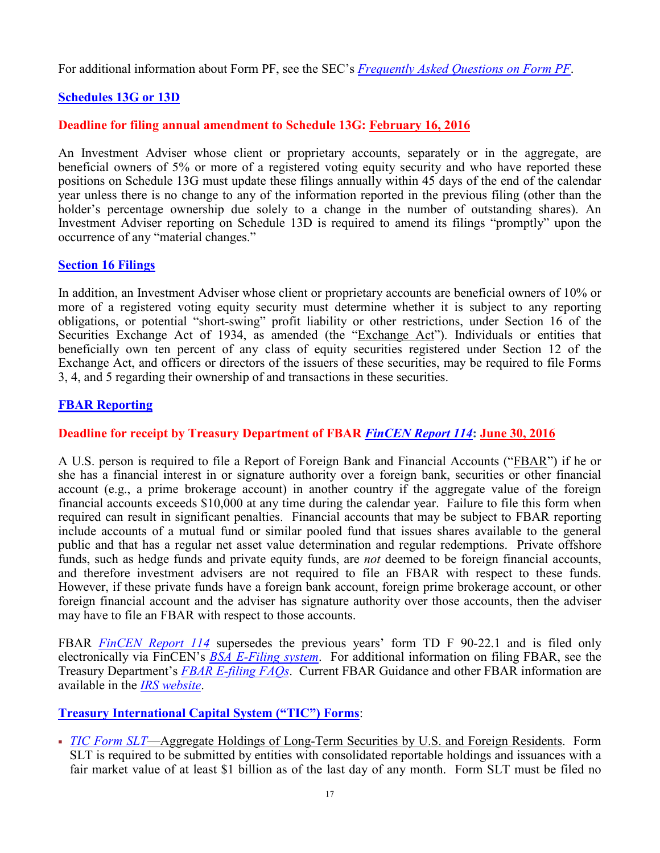For additional information about Form PF, see the SEC's *[Frequently Asked Questions on Form PF](http://www.sec.gov/divisions/investment/pfrd/pfrdfaq.shtml)*.

# **Schedules 13G or 13D**

## **Deadline for filing annual amendment to Schedule 13G: February 16, 2016**

An Investment Adviser whose client or proprietary accounts, separately or in the aggregate, are beneficial owners of 5% or more of a registered voting equity security and who have reported these positions on Schedule 13G must update these filings annually within 45 days of the end of the calendar year unless there is no change to any of the information reported in the previous filing (other than the holder's percentage ownership due solely to a change in the number of outstanding shares). An Investment Adviser reporting on Schedule 13D is required to amend its filings "promptly" upon the occurrence of any "material changes."

## **Section 16 Filings**

In addition, an Investment Adviser whose client or proprietary accounts are beneficial owners of 10% or more of a registered voting equity security must determine whether it is subject to any reporting obligations, or potential "short-swing" profit liability or other restrictions, under Section 16 of the Securities Exchange Act of 1934, as amended (the "Exchange Act"). Individuals or entities that beneficially own ten percent of any class of equity securities registered under Section 12 of the Exchange Act, and officers or directors of the issuers of these securities, may be required to file Forms 3, 4, and 5 regarding their ownership of and transactions in these securities.

## **FBAR Reporting**

## **Deadline for receipt by Treasury Department of FBAR** *[FinCEN Report 114](http://bsaefiling.fincen.treas.gov/NoRegFBARFiler.html)***: June 30, 2016**

A U.S. person is required to file a Report of Foreign Bank and Financial Accounts ("FBAR") if he or she has a financial interest in or signature authority over a foreign bank, securities or other financial account (e.g., a prime brokerage account) in another country if the aggregate value of the foreign financial accounts exceeds \$10,000 at any time during the calendar year. Failure to file this form when required can result in significant penalties. Financial accounts that may be subject to FBAR reporting include accounts of a mutual fund or similar pooled fund that issues shares available to the general public and that has a regular net asset value determination and regular redemptions. Private offshore funds, such as hedge funds and private equity funds, are *not* deemed to be foreign financial accounts, and therefore investment advisers are not required to file an FBAR with respect to these funds. However, if these private funds have a foreign bank account, foreign prime brokerage account, or other foreign financial account and the adviser has signature authority over those accounts, then the adviser may have to file an FBAR with respect to those accounts.

FBAR *[FinCEN Report 114](http://bsaefiling.fincen.treas.gov/NoRegFBARFiler.html)* supersedes the previous years' form TD F 90-22.1 and is filed only electronically via FinCEN's *[BSA E-Filing system](http://bsaefiling.fincen.treas.gov/main.html)*. For additional information on filing FBAR, see the Treasury Department's *[FBAR E-filing FAQs](http://bsaefiling.fincen.treas.gov/docs/FBAR_EFILING_FAQ.pdf)*. Current FBAR Guidance and other FBAR information are available in the *[IRS website](http://www.irs.gov/Businesses/Small-Businesses-&-Self-Employed/Report-of-Foreign-Bank-and-Financial-Accounts-FBAR)*.

## **Treasury International Capital System ("TIC") Forms**:

 *[TIC Form SLT](http://www.treasury.gov/resource-center/data-chart-center/tic/Pages/forms-slt.aspx)*—Aggregate Holdings of Long-Term Securities by U.S. and Foreign Residents. Form SLT is required to be submitted by entities with consolidated reportable holdings and issuances with a fair market value of at least \$1 billion as of the last day of any month. Form SLT must be filed no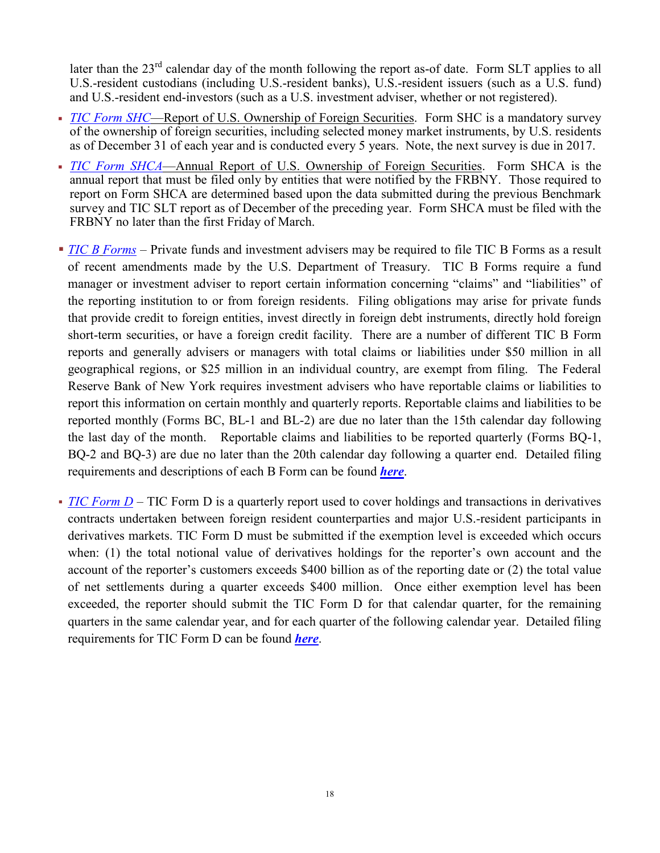later than the  $23<sup>rd</sup>$  calendar day of the month following the report as-of date. Form SLT applies to all U.S.-resident custodians (including U.S.-resident banks), U.S.-resident issuers (such as a U.S. fund) and U.S.-resident end-investors (such as a U.S. investment adviser, whether or not registered).

- *[TIC Form SHC](http://www.treasury.gov/resource-center/data-chart-center/tic/Pages/forms-sh.aspx#shc)*—Report of U.S. Ownership of Foreign Securities. Form SHC is a mandatory survey of the ownership of foreign securities, including selected money market instruments, by U.S. residents as of December 31 of each year and is conducted every 5 years. Note, the next survey is due in 2017.
- *[TIC Form SHCA](http://www.treasury.gov/resource-center/data-chart-center/tic/Documents/shca2012in.pdf)*—Annual Report of U.S. Ownership of Foreign Securities. Form SHCA is the annual report that must be filed only by entities that were notified by the FRBNY. Those required to report on Form SHCA are determined based upon the data submitted during the previous Benchmark survey and TIC SLT report as of December of the preceding year. Form SHCA must be filed with the FRBNY no later than the first Friday of March.
- *[TIC B](http://www.treasury.gov/resource-center/data-chart-center/tic/Pages/forms-b.aspx) Forms* Private funds and investment advisers may be required to file TIC B Forms as a result of recent amendments made by the U.S. Department of Treasury. TIC B Forms require a fund manager or investment adviser to report certain information concerning "claims" and "liabilities" of the reporting institution to or from foreign residents. Filing obligations may arise for private funds that provide credit to foreign entities, invest directly in foreign debt instruments, directly hold foreign short-term securities, or have a foreign credit facility. There are a number of different TIC B Form reports and generally advisers or managers with total claims or liabilities under \$50 million in all geographical regions, or \$25 million in an individual country, are exempt from filing. The Federal Reserve Bank of New York requires investment advisers who have reportable claims or liabilities to report this information on certain monthly and quarterly reports. Reportable claims and liabilities to be reported monthly (Forms BC, BL-1 and BL-2) are due no later than the 15th calendar day following the last day of the month. Reportable claims and liabilities to be reported quarterly (Forms BQ-1, BQ-2 and BQ-3) are due no later than the 20th calendar day following a quarter end. Detailed filing requirements and descriptions of each B Form can be found *[here](http://www.treasury.gov/resource-center/data-chart-center/tic/Documents/fbinstr-dec2013.pdf)*.
- *TIC Form D* TIC Form D is a quarterly report used to cover holdings and transactions in derivatives contracts undertaken between foreign resident counterparties and major U.S.-resident participants in derivatives markets. TIC Form D must be submitted if the exemption level is exceeded which occurs when: (1) the total notional value of derivatives holdings for the reporter's own account and the account of the reporter's customers exceeds \$400 billion as of the reporting date or (2) the total value of net settlements during a quarter exceeds \$400 million. Once either exemption level has been exceeded, the reporter should submit the TIC Form D for that calendar quarter, for the remaining quarters in the same calendar year, and for each quarter of the following calendar year. Detailed filing requirements for TIC Form D can be found *[here](http://ticdata.treasury.gov/Publish/dinstr-may2015.pdf)*.